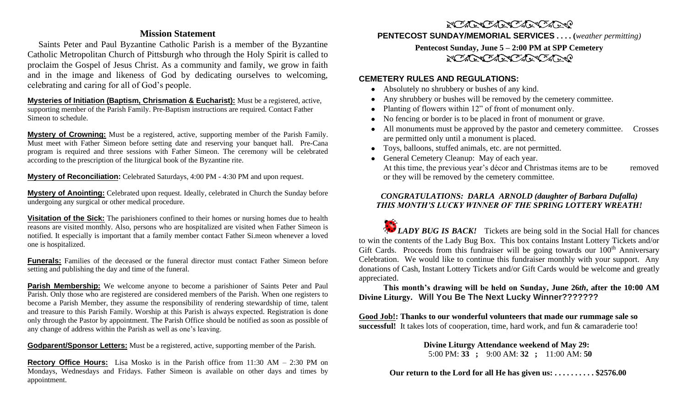#### **Mission Statement**

 Saints Peter and Paul Byzantine Catholic Parish is a member of the Byzantine Catholic Metropolitan Church of Pittsburgh who through the Holy Spirit is called to proclaim the Gospel of Jesus Christ. As a community and family, we grow in faith and in the image and likeness of God by dedicating ourselves to welcoming, celebrating and caring for all of God's people.

**Mysteries of Initiation (Baptism, Chrismation & Eucharist):** Must be a registered, active, supporting member of the Parish Family. Pre-Baptism instructions are required. Contact Father Simeon to schedule.

**Mystery of Crowning:** Must be a registered, active, supporting member of the Parish Family. Must meet with Father Simeon before setting date and reserving your banquet hall. Pre-Cana program is required and three sessions with Father Simeon. The ceremony will be celebrated according to the prescription of the liturgical book of the Byzantine rite.

**Mystery of Reconciliation:** Celebrated Saturdays, 4:00 PM - 4:30 PM and upon request.

**Mystery of Anointing:** Celebrated upon request. Ideally, celebrated in Church the Sunday before undergoing any surgical or other medical procedure.

**Visitation of the Sick:** The parishioners confined to their homes or nursing homes due to health reasons are visited monthly. Also, persons who are hospitalized are visited when Father Simeon is notified. It especially is important that a family member contact Father Si.meon whenever a loved one is hospitalized.

**Funerals:** Families of the deceased or the funeral director must contact Father Simeon before setting and publishing the day and time of the funeral.

**Parish Membership:** We welcome anyone to become a parishioner of Saints Peter and Paul Parish. Only those who are registered are considered members of the Parish. When one registers to become a Parish Member, they assume the responsibility of rendering stewardship of time, talent and treasure to this Parish Family. Worship at this Parish is always expected. Registration is done only through the Pastor by appointment. The Parish Office should be notified as soon as possible of any change of address within the Parish as well as one's leaving.

**Godparent/Sponsor Letters:** Must be a registered, active, supporting member of the Parish.

**Rectory Office Hours:** Lisa Mosko is in the Parish office from 11:30 AM – 2:30 PM on Mondays, Wednesdays and Fridays. Father Simeon is available on other days and times by appointment.

## NO CONTROLLANDO

**PENTECOST SUNDAY/MEMORIAL SERVICES . . . . (***weather permitting)*

**Pentecost Sunday, June 5 – 2:00 PM at SPP Cemetery** NORTH CARL ARTICLE

#### **CEMETERY RULES AND REGULATIONS:**

- Absolutely no shrubbery or bushes of any kind.
- Any shrubbery or bushes will be removed by the cemetery committee.
- Planting of flowers within 12" of front of monument only.
- No fencing or border is to be placed in front of monument or grave.
- All monuments must be approved by the pastor and cemetery committee. Crosses are permitted only until a monument is placed.
- Toys, balloons, stuffed animals, etc. are not permitted.
- General Cemetery Cleanup: May of each year. At this time, the previous year's décor and Christmas items are to be removed or they will be removed by the cemetery committee.

#### *CONGRATULATIONS: DARLA ARNOLD (daughter of Barbara Dufalla) THIS MONTH'S LUCKY WINNER OF THE SPRING LOTTERY WREATH!*

*LADY BUG IS BACK!* Tickets are being sold in the Social Hall for chances to win the contents of the Lady Bug Box. This box contains Instant Lottery Tickets and/or Gift Cards. Proceeds from this fundraiser will be going towards our  $100<sup>th</sup>$  Anniversary Celebration. We would like to continue this fundraiser monthly with your support. Any donations of Cash, Instant Lottery Tickets and/or Gift Cards would be welcome and greatly appreciated.

**This month's drawing will be held on Sunday, June 26***th***, after the 10:00 AM Divine Liturgy. Will You Be The Next Lucky Winner???????**

**Good Job!: Thanks to our wonderful volunteers that made our rummage sale so successful!** It takes lots of cooperation, time, hard work, and fun & camaraderie too!

> **Divine Liturgy Attendance weekend of May 29:** 5:00 PM: **33 ;** 9:00 AM: **32 ;** 11:00 AM: **50**

 **Our return to the Lord for all He has given us: . . . . . . . . . . \$2576.00**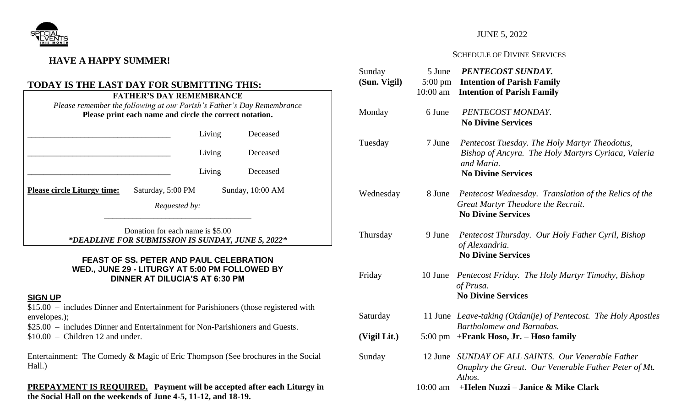

## **HAVE A HAPPY SUMMER!**

#### **TODAY IS THE LAST DAY FOR SUBMITTING THIS:** **FATHER'S DAY REMEMBRANCE**

|                                                         | FATHER'S DAY REMEMBRANCE                                               |  |  |
|---------------------------------------------------------|------------------------------------------------------------------------|--|--|
|                                                         | Please remember the following at our Parish's Father's Day Remembrance |  |  |
| Please print each name and circle the correct notation. |                                                                        |  |  |
|                                                         |                                                                        |  |  |

|                                    |                   | Living | Deceased         |
|------------------------------------|-------------------|--------|------------------|
|                                    |                   | Living | Deceased         |
|                                    |                   | Living | Deceased         |
| <b>Please circle Liturgy time:</b> | Saturday, 5:00 PM |        | Sunday, 10:00 AM |
|                                    | Requested by:     |        |                  |
|                                    |                   |        |                  |

Donation for each name is \$5.00 *\*DEADLINE FOR SUBMISSION IS SUNDAY, JUNE 5, 2022\**

#### **FEAST OF SS. PETER AND PAUL CELEBRATION WED., JUNE 29 - LITURGY AT 5:00 PM FOLLOWED BY DINNER AT DILUCIA'S AT 6:30 PM**

### **SIGN UP**

 $\overline{$15.00}$  – includes Dinner and Entertainment for Parishioners (those registered with envelopes.);

\$25.00 – includes Dinner and Entertainment for Non-Parishioners and Guests.  $$10.00 - Children 12$  and under.

Entertainment: The Comedy & Magic of Eric Thompson (See brochures in the Social Hall.)

**PREPAYMENT IS REQUIRED. Payment will be accepted after each Liturgy in the Social Hall on the weekends of June 4-5, 11-12, and 18-19.**

### JUNE 5, 2022

#### SCHEDULE OF DIVINE SERVICES

| Sunday<br>(Sun. Vigil) | 5 June<br>$10:00$ am | PENTECOST SUNDAY.<br>5:00 pm Intention of Parish Family<br><b>Intention of Parish Family</b>                                                    |
|------------------------|----------------------|-------------------------------------------------------------------------------------------------------------------------------------------------|
| Monday                 | 6 June               | PENTECOST MONDAY.<br><b>No Divine Services</b>                                                                                                  |
| Tuesday                | 7 June               | Pentecost Tuesday. The Holy Martyr Theodotus,<br>Bishop of Ancyra. The Holy Martyrs Cyriaca, Valeria<br>and Maria.<br><b>No Divine Services</b> |
| Wednesday              | 8 June               | Pentecost Wednesday. Translation of the Relics of the<br>Great Martyr Theodore the Recruit.<br><b>No Divine Services</b>                        |
| Thursday               | 9 June               | Pentecost Thursday. Our Holy Father Cyril, Bishop<br>of Alexandria.<br><b>No Divine Services</b>                                                |
| Friday                 | 10 June              | Pentecost Friday. The Holy Martyr Timothy, Bishop<br>of Prusa.<br><b>No Divine Services</b>                                                     |
| Saturday               |                      | 11 June Leave-taking (Otdanije) of Pentecost. The Holy Apostles<br><b>Bartholomew and Barnabas.</b>                                             |
| (Vigil Lit.)           |                      | 5:00 pm +Frank Hoso, Jr. - Hoso family                                                                                                          |
| Sunday                 | 12 June              | SUNDAY OF ALL SAINTS. Our Venerable Father<br>Onuphry the Great. Our Venerable Father Peter of Mt.<br>Athos.                                    |
|                        | $10:00$ am           | +Helen Nuzzi – Janice & Mike Clark                                                                                                              |